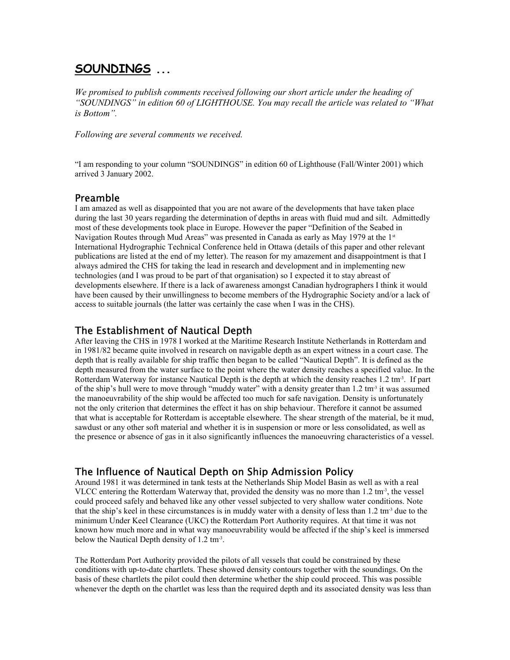# **SOUNDINGS ...**

*We promised to publish comments received following our short article under the heading of "SOUNDINGS" in edition 60 of LIGHTHOUSE. You may recall the article was related to "What is Bottom".*

*Following are several comments we received.*

"I am responding to your column "SOUNDINGS" in edition 60 of Lighthouse (Fall/Winter 2001) which arrived 3 January 2002.

### Preamble

I am amazed as well as disappointed that you are not aware of the developments that have taken place during the last 30 years regarding the determination of depths in areas with fluid mud and silt. Admittedly most of these developments took place in Europe. However the paper "Definition of the Seabed in Navigation Routes through Mud Areas" was presented in Canada as early as May 1979 at the 1st International Hydrographic Technical Conference held in Ottawa (details of this paper and other relevant publications are listed at the end of my letter). The reason for my amazement and disappointment is that I always admired the CHS for taking the lead in research and development and in implementing new technologies (and I was proud to be part of that organisation) so I expected it to stay abreast of developments elsewhere. If there is a lack of awareness amongst Canadian hydrographers I think it would have been caused by their unwillingness to become members of the Hydrographic Society and/or a lack of access to suitable journals (the latter was certainly the case when I was in the CHS).

### The Establishment of Nautical Depth

After leaving the CHS in 1978 I worked at the Maritime Research Institute Netherlands in Rotterdam and in 1981/82 became quite involved in research on navigable depth as an expert witness in a court case. The depth that is really available for ship traffic then began to be called "Nautical Depth". It is defined as the depth measured from the water surface to the point where the water density reaches a specified value. In the Rotterdam Waterway for instance Nautical Depth is the depth at which the density reaches 1.2 tm<sup>-3</sup>. If part of the ship's hull were to move through "muddy water" with a density greater than  $1.2 \text{ tm}^3$  it was assumed the manoeuvrability of the ship would be affected too much for safe navigation. Density is unfortunately not the only criterion that determines the effect it has on ship behaviour. Therefore it cannot be assumed that what is acceptable for Rotterdam is acceptable elsewhere. The shear strength of the material, be it mud, sawdust or any other soft material and whether it is in suspension or more or less consolidated, as well as the presence or absence of gas in it also significantly influences the manoeuvring characteristics of a vessel.

## The Influence of Nautical Depth on Ship Admission Policy

Around 1981 it was determined in tank tests at the Netherlands Ship Model Basin as well as with a real VLCC entering the Rotterdam Waterway that, provided the density was no more than 1.2 tm<sup>-3</sup>, the vessel could proceed safely and behaved like any other vessel subjected to very shallow water conditions. Note that the ship's keel in these circumstances is in muddy water with a density of less than  $1.2 \text{ tm}^3$  due to the minimum Under Keel Clearance (UKC) the Rotterdam Port Authority requires. At that time it was not known how much more and in what way manoeuvrability would be affected if the ship's keel is immersed below the Nautical Depth density of 1.2 tm-3.

The Rotterdam Port Authority provided the pilots of all vessels that could be constrained by these conditions with up-to-date chartlets. These showed density contours together with the soundings. On the basis of these chartlets the pilot could then determine whether the ship could proceed. This was possible whenever the depth on the chartlet was less than the required depth and its associated density was less than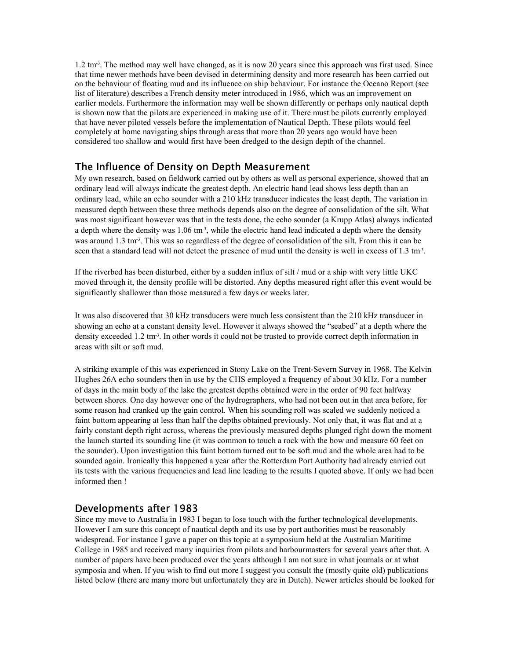$1.2 \text{ tm}^3$ . The method may well have changed, as it is now 20 years since this approach was first used. Since that time newer methods have been devised in determining density and more research has been carried out on the behaviour of floating mud and its influence on ship behaviour. For instance the Oceano Report (see list of literature) describes a French density meter introduced in 1986, which was an improvement on earlier models. Furthermore the information may well be shown differently or perhaps only nautical depth is shown now that the pilots are experienced in making use of it. There must be pilots currently employed that have never piloted vessels before the implementation of Nautical Depth. These pilots would feel completely at home navigating ships through areas that more than 20 years ago would have been considered too shallow and would first have been dredged to the design depth of the channel.

### The Influence of Density on Depth Measurement

My own research, based on fieldwork carried out by others as well as personal experience, showed that an ordinary lead will always indicate the greatest depth. An electric hand lead shows less depth than an ordinary lead, while an echo sounder with a 210 kHz transducer indicates the least depth. The variation in measured depth between these three methods depends also on the degree of consolidation of the silt. What was most significant however was that in the tests done, the echo sounder (a Krupp Atlas) always indicated a depth where the density was 1.06 tm<sup>-3</sup>, while the electric hand lead indicated a depth where the density was around 1.3 tm<sup>3</sup>. This was so regardless of the degree of consolidation of the silt. From this it can be seen that a standard lead will not detect the presence of mud until the density is well in excess of 1.3 tm<sup>3</sup>.

If the riverbed has been disturbed, either by a sudden influx of silt / mud or a ship with very little UKC moved through it, the density profile will be distorted. Any depths measured right after this event would be significantly shallower than those measured a few days or weeks later.

It was also discovered that 30 kHz transducers were much less consistent than the 210 kHz transducer in showing an echo at a constant density level. However it always showed the "seabed" at a depth where the density exceeded 1.2 tm<sup>3</sup>. In other words it could not be trusted to provide correct depth information in areas with silt or soft mud.

A striking example of this was experienced in Stony Lake on the Trent-Severn Survey in 1968. The Kelvin Hughes 26A echo sounders then in use by the CHS employed a frequency of about 30 kHz. For a number of days in the main body of the lake the greatest depths obtained were in the order of 90 feet halfway between shores. One day however one of the hydrographers, who had not been out in that area before, for some reason had cranked up the gain control. When his sounding roll was scaled we suddenly noticed a faint bottom appearing at less than half the depths obtained previously. Not only that, it was flat and at a fairly constant depth right across, whereas the previously measured depths plunged right down the moment the launch started its sounding line (it was common to touch a rock with the bow and measure 60 feet on the sounder). Upon investigation this faint bottom turned out to be soft mud and the whole area had to be sounded again. Ironically this happened a year after the Rotterdam Port Authority had already carried out its tests with the various frequencies and lead line leading to the results I quoted above. If only we had been informed then !

### Developments after 1983

Since my move to Australia in 1983 I began to lose touch with the further technological developments. However I am sure this concept of nautical depth and its use by port authorities must be reasonably widespread. For instance I gave a paper on this topic at a symposium held at the Australian Maritime College in 1985 and received many inquiries from pilots and harbourmasters for several years after that. A number of papers have been produced over the years although I am not sure in what journals or at what symposia and when. If you wish to find out more I suggest you consult the (mostly quite old) publications listed below (there are many more but unfortunately they are in Dutch). Newer articles should be looked for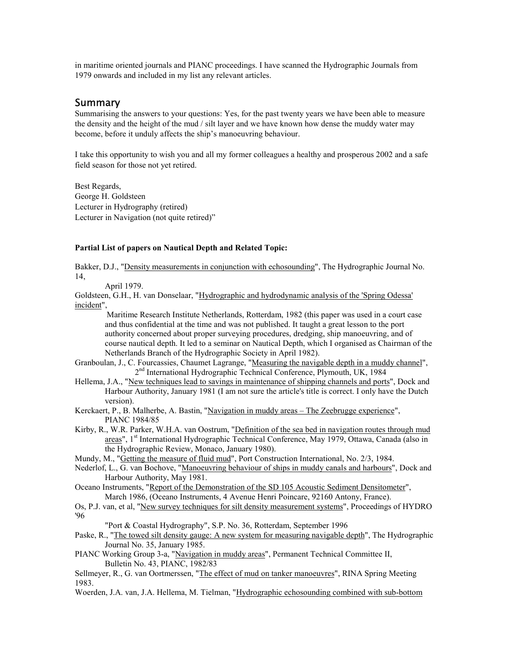in maritime oriented journals and PIANC proceedings. I have scanned the Hydrographic Journals from 1979 onwards and included in my list any relevant articles.

#### Summary

Summarising the answers to your questions: Yes, for the past twenty years we have been able to measure the density and the height of the mud / silt layer and we have known how dense the muddy water may become, before it unduly affects the ship's manoeuvring behaviour.

I take this opportunity to wish you and all my former colleagues a healthy and prosperous 2002 and a safe field season for those not yet retired.

Best Regards, George H. Goldsteen Lecturer in Hydrography (retired) Lecturer in Navigation (not quite retired)"

#### **Partial List of papers on Nautical Depth and Related Topic:**

Bakker, D.J., "Density measurements in conjunction with echosounding", The Hydrographic Journal No. 14,

April 1979.

Goldsteen, G.H., H. van Donselaar, "Hydrographic and hydrodynamic analysis of the 'Spring Odessa' incident",

Maritime Research Institute Netherlands, Rotterdam, 1982 (this paper was used in a court case and thus confidential at the time and was not published. It taught a great lesson to the port authority concerned about proper surveying procedures, dredging, ship manoeuvring, and of course nautical depth. It led to a seminar on Nautical Depth, which I organised as Chairman of the Netherlands Branch of the Hydrographic Society in April 1982).

Granboulan, J., C. Fourcassies, Chaumet Lagrange, "Measuring the navigable depth in a muddy channel", 2<sup>nd</sup> International Hydrographic Technical Conference, Plymouth, UK, 1984

Hellema, J.A., "New techniques lead to savings in maintenance of shipping channels and ports", Dock and Harbour Authority, January 1981 (I am not sure the article's title is correct. I only have the Dutch version).

Kerckaert, P., B. Malherbe, A. Bastin, "Navigation in muddy areas – The Zeebrugge experience", PIANC 1984/85

- Kirby, R., W.R. Parker, W.H.A. van Oostrum, "Definition of the sea bed in navigation routes through mud areas", 1<sup>st</sup> International Hydrographic Technical Conference, May 1979, Ottawa, Canada (also in the Hydrographic Review, Monaco, January 1980).
- Mundy, M., "Getting the measure of fluid mud", Port Construction International, No. 2/3, 1984.
- Nederlof, L., G. van Bochove, "Manoeuvring behaviour of ships in muddy canals and harbours", Dock and Harbour Authority, May 1981.
- Oceano Instruments, "Report of the Demonstration of the SD 105 Acoustic Sediment Densitometer", March 1986, (Oceano Instruments, 4 Avenue Henri Poincare, 92160 Antony, France).

Os, P.J. van, et al, "New survey techniques for silt density measurement systems", Proceedings of HYDRO '96

"Port & Coastal Hydrography", S.P. No. 36, Rotterdam, September 1996

Paske, R., "The towed silt density gauge: A new system for measuring navigable depth", The Hydrographic Journal No. 35, January 1985.

PIANC Working Group 3-a, "Navigation in muddy areas", Permanent Technical Committee II, Bulletin No. 43, PIANC, 1982/83

Sellmeyer, R., G. van Oortmerssen, "The effect of mud on tanker manoeuvres", RINA Spring Meeting 1983.

Woerden, J.A. van, J.A. Hellema, M. Tielman, "Hydrographic echosounding combined with sub-bottom